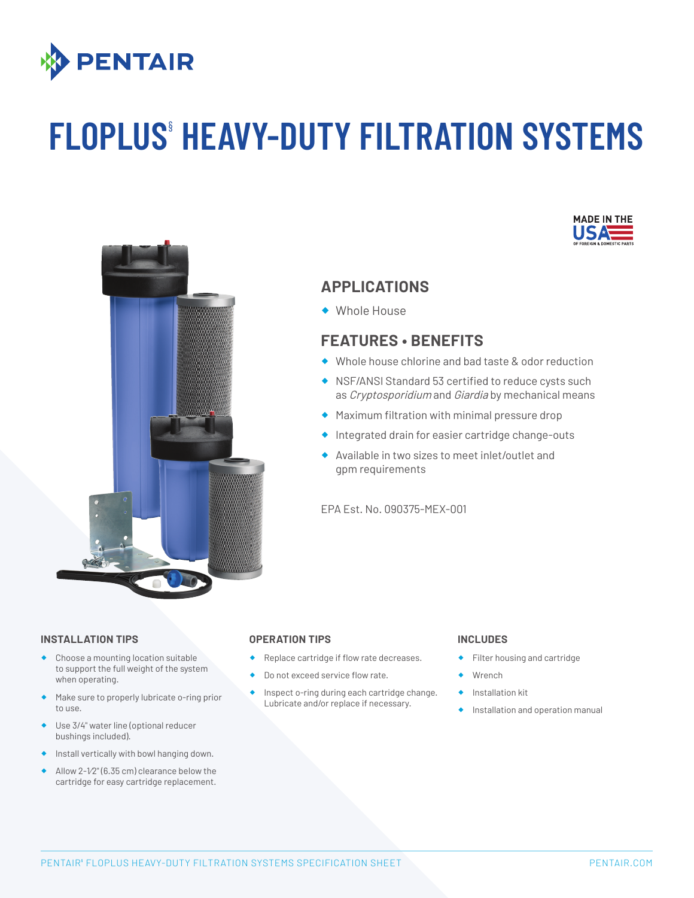

# **FLOPLUS**§ **HEAVY-DUTY FILTRATION SYSTEMS**





## **APPLICATIONS**

® Whole House

# **FEATURES • BENEFITS**

- ® Whole house chlorine and bad taste & odor reduction
- ® NSF/ANSI Standard 53 certified to reduce cysts such as *Cryptosporidium* and *Giardia* by mechanical means
- ® Maximum filtration with minimal pressure drop
- ® Integrated drain for easier cartridge change-outs
- ® Available in two sizes to meet inlet/outlet and gpm requirements

EPA Est. No. 090375-MEX-001

### **INSTALLATION TIPS OPERATION TIPS**

- Choose a mounting location suitable to support the full weight of the system when operating.
- Make sure to properly lubricate o-ring prior to use.
- ® Use 3/4" water line (optional reducer bushings included).
- Install vertically with bowl hanging down.
- Allow  $2-\frac{1}{2}$ " (6.35 cm) clearance below the cartridge for easy cartridge replacement.

- Replace cartridge if flow rate decreases.
- Do not exceed service flow rate.
- Inspect o-ring during each cartridge change. Lubricate and/or replace if necessary.

### **INCLUDES**

- Filter housing and cartridge
- **Wrench**
- Installation kit
- Installation and operation manual